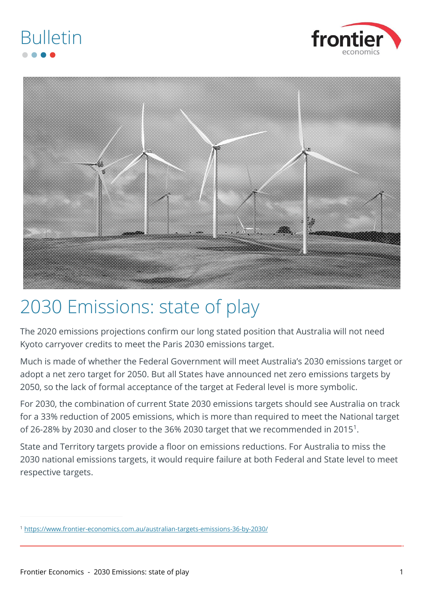



## 2030 Emissions: state of play

The 2020 emissions projections confirm our long stated position that Australia will not need Kyoto carryover credits to meet the Paris 2030 emissions target.

Much is made of whether the Federal Government will meet Australia's 2030 emissions target or adopt a net zero target for 2050. But all States have announced net zero emissions targets by 2050, so the lack of formal acceptance of the target at Federal level is more symbolic.

For 2030, the combination of current State 2030 emissions targets should see Australia on track for a 33% reduction of 2005 emissions, which is more than required to meet the National target of 26-28% by 2030 and closer to the 36% 2030 target that we recommended in 2015<sup>1</sup>.

State and Territory targets provide a floor on emissions reductions. For Australia to miss the 2030 national emissions targets, it would require failure at both Federal and State level to meet respective targets.

<sup>1</sup> <https://www.frontier-economics.com.au/australian-targets-emissions-36-by-2030/>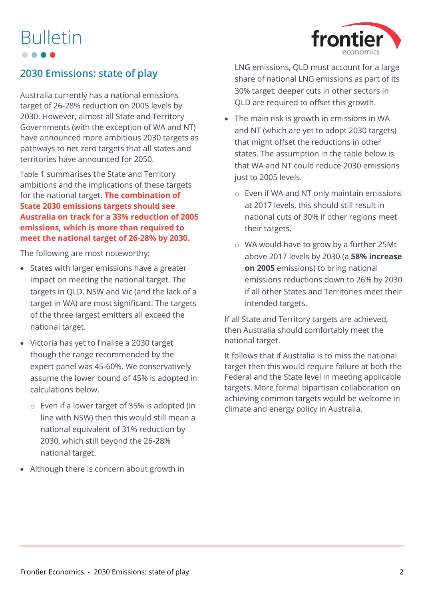

### **2030 Emissions: state of play**

Australia currently has a national emissions target of 26-28% reduction on 2005 levels by 2030. However, almost all State and Territory Governments (with the exception of WA and NT) have announced more ambitious 2030 targets as pathways to net zero targets that all states and territories have announced for 2050.

[Table](#page-2-0) 1 summarises the State and Territory ambitions and the implications of these targets for the national target. **The combination of State 2030 emissions targets should see Australia on track for a 33% reduction of 2005 emissions, which is more than required to meet the national target of 26-28% by 2030.**

The following are most noteworthy:

- States with larger emissions have a greater impact on meeting the national target. The targets in QLD, NSW and Vic (and the lack of a target in WA) are most significant. The targets of the three largest emitters all exceed the national target.
- Victoria has yet to finalise a 2030 target though the range recommended by the expert panel was 45-60%. We conservatively assume the lower bound of 45% is adopted in calculations below.
	- o Even if a lower target of 35% is adopted (in line with NSW) then this would still mean a national equivalent of 31% reduction by 2030, which still beyond the 26-28% national target.
- Although there is concern about growth in

LNG emissions, QLD must account for a large share of national LNG emissions as part of its 30% target: deeper cuts in other sectors in QLD are required to offset this growth.

- The main risk is growth in emissions in WA and NT (which are yet to adopt 2030 targets) that might offset the reductions in other states. The assumption in the table below is that WA and NT could reduce 2030 emissions just to 2005 levels.
	- o Even if WA and NT only maintain emissions at 2017 levels, this should still result in national cuts of 30% if other regions meet their targets.
	- o WA would have to grow by a further 25Mt above 2017 levels by 2030 (a **58% increase on 2005** emissions) to bring national emissions reductions down to 26% by 2030 if all other States and Territories meet their intended targets.

If all State and Territory targets are achieved, then Australia should comfortably meet the national target.

It follows that if Australia is to miss the national target then this would require failure at both the Federal and the State level in meeting applicable targets. More formal bipartisan collaboration on achieving common targets would be welcome in climate and energy policy in Australia.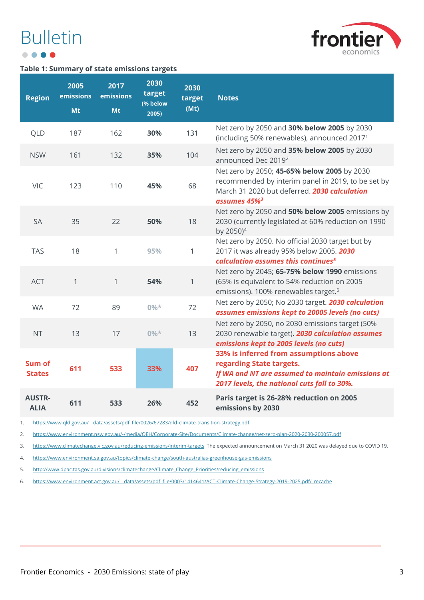## Bulletin . . . .



#### <span id="page-2-0"></span>**Table 1: Summary of state emissions targets**

| <b>Region</b>                | 2005<br>emissions<br>Mt | 2017<br>emissions<br>Mt | 2030<br>target<br>(% below<br>2005) | 2030<br>target<br>(Mt) | <b>Notes</b>                                                                                                                                                                  |
|------------------------------|-------------------------|-------------------------|-------------------------------------|------------------------|-------------------------------------------------------------------------------------------------------------------------------------------------------------------------------|
| QLD                          | 187                     | 162                     | 30%                                 | 131                    | Net zero by 2050 and 30% below 2005 by 2030<br>(including 50% renewables), announced 2017 <sup>1</sup>                                                                        |
| <b>NSW</b>                   | 161                     | 132                     | 35%                                 | 104                    | Net zero by 2050 and 35% below 2005 by 2030<br>announced Dec 2019 <sup>2</sup>                                                                                                |
| VIC                          | 123                     | 110                     | 45%                                 | 68                     | Net zero by 2050; 45-65% below 2005 by 2030<br>recommended by interim panel in 2019, to be set by<br>March 31 2020 but deferred. 2030 calculation<br>assumes 45% <sup>3</sup> |
| <b>SA</b>                    | 35                      | 22                      | 50%                                 | 18                     | Net zero by 2050 and 50% below 2005 emissions by<br>2030 (currently legislated at 60% reduction on 1990<br>by 2050) <sup>4</sup>                                              |
| <b>TAS</b>                   | 18                      | 1                       | 95%                                 | 1                      | Net zero by 2050. No official 2030 target but by<br>2017 it was already 95% below 2005. 2030<br>calculation assumes this continues <sup>5</sup>                               |
| <b>ACT</b>                   | 1                       | $\mathbf{1}$            | 54%                                 | $\mathbf{1}$           | Net zero by 2045; 65-75% below 1990 emissions<br>(65% is equivalent to 54% reduction on 2005<br>emissions). 100% renewables target. <sup>6</sup>                              |
| <b>WA</b>                    | 72                      | 89                      | $0\%*$                              | 72                     | Net zero by 2050; No 2030 target. 2030 calculation<br>assumes emissions kept to 20005 levels (no cuts)                                                                        |
| <b>NT</b>                    | 13                      | 17                      | $0\%*$                              | 13                     | Net zero by 2050, no 2030 emissions target (50%<br>2030 renewable target). 2030 calculation assumes<br>emissions kept to 2005 levels (no cuts)                                |
| Sum of<br><b>States</b>      | 611                     | 533                     | 33%                                 | 407                    | 33% is inferred from assumptions above<br>regarding State targets.<br>If WA and NT are assumed to maintain emissions at<br>2017 levels, the national cuts fall to 30%.        |
| <b>AUSTR-</b><br><b>ALIA</b> | 611                     | 533                     | 26%                                 | 452                    | Paris target is 26-28% reduction on 2005<br>emissions by 2030                                                                                                                 |

1. https://www.gld.gov.au/ data/assets/pdf file/0026/67283/gld-climate-transition-strategy.pdf

2. <https://www.environment.nsw.gov.au/-/media/OEH/Corporate-Site/Documents/Climate-change/net-zero-plan-2020-2030-200057.pdf>

3. <https://www.climatechange.vic.gov.au/reducing-emissions/interim-targets>The expected announcement on March 31 2020 was delayed due to COVID 19.

4. <https://www.environment.sa.gov.au/topics/climate-change/south-australias-greenhouse-gas-emissions>

5. [http://www.dpac.tas.gov.au/divisions/climatechange/Climate\\_Change\\_Priorities/reducing\\_emissions](http://www.dpac.tas.gov.au/divisions/climatechange/Climate_Change_Priorities/reducing_emissions)

6. [https://www.environment.act.gov.au/\\_\\_data/assets/pdf\\_file/0003/1414641/ACT-Climate-Change-Strategy-2019-2025.pdf/\\_recache](https://www.environment.act.gov.au/__data/assets/pdf_file/0003/1414641/ACT-Climate-Change-Strategy-2019-2025.pdf/_recache)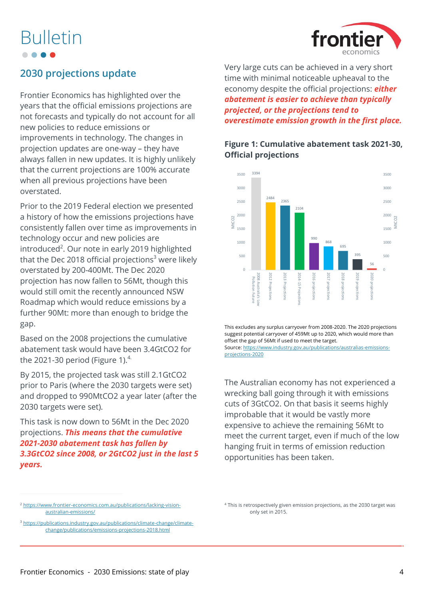

### **2030 projections update**

Frontier Economics has highlighted over the years that the official emissions projections are not forecasts and typically do not account for all new policies to reduce emissions or improvements in technology. The changes in projection updates are one-way – they have always fallen in new updates. It is highly unlikely that the current projections are 100% accurate when all previous projections have been overstated.

Prior to the 2019 Federal election we presented a history of how the emissions projections have consistently fallen over time as improvements in technology occur and new policies are introduced<sup>2</sup>. Our note in early 2019 highlighted that the Dec 2018 official projections<sup>3</sup> were likely overstated by 200-400Mt. The Dec 2020 projection has now fallen to 56Mt, though this would still omit the recently announced NSW Roadmap which would reduce emissions by a further 90Mt: more than enough to bridge the gap.

Based on the 2008 projections the cumulative abatement task would have been 3.4GtCO2 for the 2021-30 period [\(Figure 1\)](#page-3-0). $4$ 

By 2015, the projected task was still 2.1GtCO2 prior to Paris (where the 2030 targets were set) and dropped to 990MtCO2 a year later (after the 2030 targets were set).

This task is now down to 56Mt in the Dec 2020 projections. *This means that the cumulative 2021-2030 abatement task has fallen by 3.3GtCO2 since 2008, or 2GtCO2 just in the last 5 years.*

Very large cuts can be achieved in a very short time with minimal noticeable upheaval to the economy despite the official projections: *either abatement is easier to achieve than typically projected, or the projections tend to overestimate emission growth in the first place.*

### <span id="page-3-0"></span>**Figure 1: Cumulative abatement task 2021-30, Official projections**



This excludes any surplus carryover from 2008-2020. The 2020 projections suggest potential carryover of 459Mt up to 2020, which would more than offset the gap of 56Mt if used to meet the target. Source[: https://www.industry.gov.au/publications/australias-emissions](https://www.industry.gov.au/publications/australias-emissions-projections-2020)[projections-2020](https://www.industry.gov.au/publications/australias-emissions-projections-2020)

The Australian economy has not experienced a wrecking ball going through it with emissions cuts of 3GtCO2. On that basis it seems highly improbable that it would be vastly more expensive to achieve the remaining 56Mt to meet the current target, even if much of the low hanging fruit in terms of emission reduction opportunities has been taken.

<sup>2</sup> [https://www.frontier-economics.com.au/publications/lacking-vision](https://www.frontier-economics.com.au/publications/lacking-vision-australian-emissions/)[australian-emissions/](https://www.frontier-economics.com.au/publications/lacking-vision-australian-emissions/)

<sup>&</sup>lt;sup>3</sup> [https://publications.industry.gov.au/publications/climate-change/climate](https://publications.industry.gov.au/publications/climate-change/climate-change/publications/emissions-projections-2018.html)[change/publications/emissions-projections-2018.html](https://publications.industry.gov.au/publications/climate-change/climate-change/publications/emissions-projections-2018.html)

<sup>4</sup> This is retrospectively given emission projections, as the 2030 target was only set in 2015.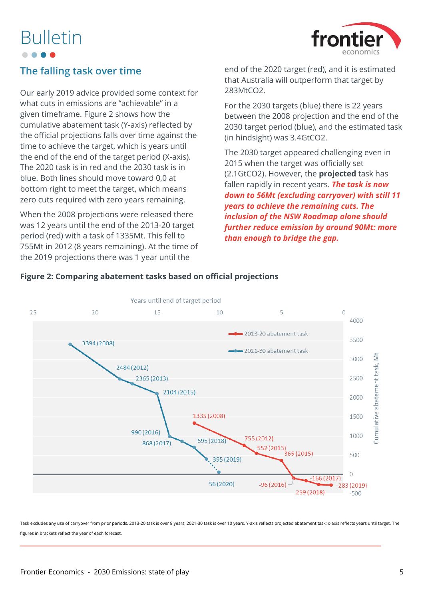

### **The falling task over time**

Our early 2019 advice provided some context for what cuts in emissions are "achievable" in a given timeframe. [Figure 2](#page-4-0) shows how the cumulative abatement task (Y-axis) reflected by the official projections falls over time against the time to achieve the target, which is years until the end of the end of the target period (X-axis). The 2020 task is in red and the 2030 task is in blue. Both lines should move toward 0,0 at bottom right to meet the target, which means zero cuts required with zero years remaining.

When the 2008 projections were released there was 12 years until the end of the 2013-20 target period (red) with a task of 1335Mt. This fell to 755Mt in 2012 (8 years remaining). At the time of the 2019 projections there was 1 year until the

end of the 2020 target (red), and it is estimated that Australia will outperform that target by 283MtCO2.

For the 2030 targets (blue) there is 22 years between the 2008 projection and the end of the 2030 target period (blue), and the estimated task (in hindsight) was 3.4GtCO2.

The 2030 target appeared challenging even in 2015 when the target was officially set (2.1GtCO2). However, the **projected** task has fallen rapidly in recent years. *The task is now down to 56Mt (excluding carryover) with still 11 years to achieve the remaining cuts. The inclusion of the NSW Roadmap alone should further reduce emission by around 90Mt: more than enough to bridge the gap.*



### <span id="page-4-0"></span>**Figure 2: Comparing abatement tasks based on official projections**

Task excludes any use of carryover from prior periods. 2013-20 task is over 8 years; 2021-30 task is over 10 years. Y-axis reflects projected abatement task; x-axis reflects years until target. The figures in brackets reflect the year of each forecast.